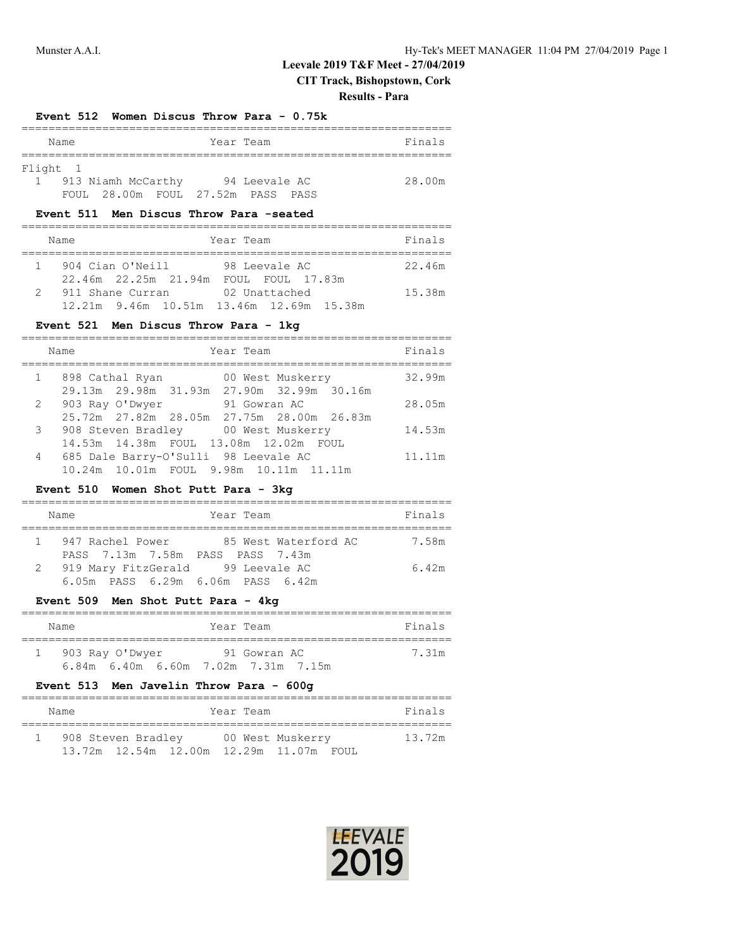# **Leevale 2019 T&F Meet - 27/04/2019**

**CIT Track, Bishopstown, Cork**

### **Results - Para**

### **Event 512 Women Discus Throw Para - 0.75k**

|          | Name |                                   | Year Team |               |  | Finals |
|----------|------|-----------------------------------|-----------|---------------|--|--------|
|          |      |                                   |           |               |  |        |
| Flight 1 |      |                                   |           |               |  |        |
|          |      | 913 Niamh McCarthy                |           | 94 Leevale AC |  | 28.00m |
|          |      | FOUL 28.00m FOUL 27.52m PASS PASS |           |               |  |        |

#### **Event 511 Men Discus Throw Para -seated**

| Year Team<br>Name                                            |                                   | Finals |
|--------------------------------------------------------------|-----------------------------------|--------|
| 904 Cian O'Neill<br>22.46m 22.25m 21.94m                     | 98 Leevale AC<br>FOUL FOUL 17.83m | 22.46m |
| 911 Shane Curran<br>12.21m 9.46m 10.51m 13.46m 12.69m 15.38m | 02 Unattached                     | 15.38m |

### **Event 521 Men Discus Throw Para - 1kg**

|                | Year Team<br>Name                          | Finals |
|----------------|--------------------------------------------|--------|
| 1              | 898 Cathal Ryan<br>00 West Muskerry        | 32.99m |
|                | 29.13m 29.98m 31.93m 27.90m 32.99m 30.16m  |        |
|                | 2 903 Ray O'Dwyer<br>91 Gowran AC          | 28.05m |
|                | 25.72m 27.82m 28.05m 27.75m 28.00m 26.83m  |        |
| 3 <sup>7</sup> | 908 Steven Bradley 100 West Muskerry       | 14.53m |
|                | 14.53m  14.38m  FOUL  13.08m  12.02m  FOUL |        |
| 4              | 685 Dale Barry-O'Sulli 98 Leevale AC       | 11.11m |
|                | 10.24m 10.01m FOUL 9.98m 10.11m 11.11m     |        |

### **Event 510 Women Shot Putt Para - 3kg**

|  | Name                                | Year Team                               | Finals |  |  |  |  |  |  |
|--|-------------------------------------|-----------------------------------------|--------|--|--|--|--|--|--|
|  | PASS 7.13m 7.58m PASS PASS 7.43m    | 1 947 Rachel Power 85 West Waterford AC | 7.58m  |  |  |  |  |  |  |
|  | 2 919 Mary FitzGerald 99 Leevale AC | 6.05m PASS 6.29m 6.06m PASS 6.42m       | 6.42m  |  |  |  |  |  |  |

# **Event 509 Men Shot Putt Para - 4kg**

| Name                                | Year Team |              | Finals |  |
|-------------------------------------|-----------|--------------|--------|--|
| 903 Ray O'Dwyer                     |           | 91 Gowran AC | 7.31m  |  |
| 6.84m 6.40m 6.60m 7.02m 7.31m 7.15m |           |              |        |  |

# **Event 513 Men Javelin Throw Para - 600g**

| Name |                    |                                         | Year Team |                  | Finals |
|------|--------------------|-----------------------------------------|-----------|------------------|--------|
|      | 908 Steven Bradley |                                         |           | 00 West Muskerry | 13.72m |
|      |                    | 13.72m 12.54m 12.00m 12.29m 11.07m FOUL |           |                  |        |